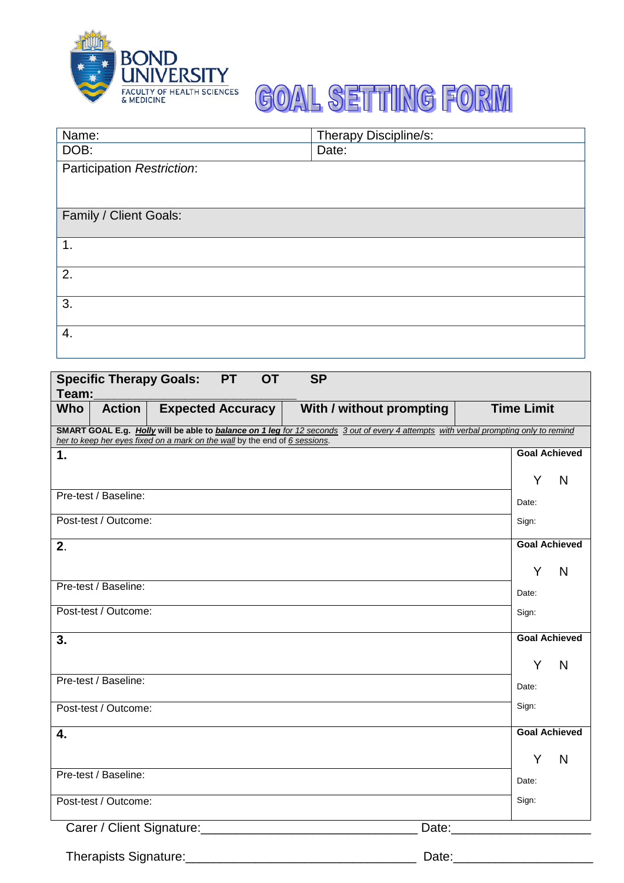

## **GOAL SETTING FORM**

| Name:                      | Therapy Discipline/s: |
|----------------------------|-----------------------|
| DOB:                       | Date:                 |
| Participation Restriction: |                       |
|                            |                       |
|                            |                       |
| Family / Client Goals:     |                       |
|                            |                       |
| 1.                         |                       |
|                            |                       |
| 2.                         |                       |
|                            |                       |
| 3.                         |                       |
|                            |                       |
| 4.                         |                       |
|                            |                       |

| <b>Specific Therapy Goals:</b><br><b>PT</b><br><b>SP</b><br><b>OT</b>                                                                |                                               |
|--------------------------------------------------------------------------------------------------------------------------------------|-----------------------------------------------|
| Team:                                                                                                                                |                                               |
| <b>Who</b><br><b>Action</b><br><b>Expected Accuracy</b>                                                                              | <b>Time Limit</b><br>With / without prompting |
| SMART GOAL E.g. Holly will be able to balance on 1 leg for 12 seconds 3 out of every 4 attempts with verbal prompting only to remind |                                               |
| her to keep her eyes fixed on a mark on the wall by the end of 6 sessions.                                                           |                                               |
| 1.                                                                                                                                   | <b>Goal Achieved</b>                          |
|                                                                                                                                      | Y<br>N                                        |
| Pre-test / Baseline:                                                                                                                 | Date:                                         |
| Post-test / Outcome:                                                                                                                 | Sign:                                         |
| 2.                                                                                                                                   | <b>Goal Achieved</b>                          |
|                                                                                                                                      | N<br>Y                                        |
| Pre-test / Baseline:                                                                                                                 | Date:                                         |
| Post-test / Outcome:                                                                                                                 | Sign:                                         |
| 3.                                                                                                                                   | <b>Goal Achieved</b>                          |
|                                                                                                                                      | Υ<br>N                                        |
| Pre-test / Baseline:                                                                                                                 | Date:                                         |
| Post-test / Outcome:                                                                                                                 | Sign:                                         |
| 4.                                                                                                                                   | <b>Goal Achieved</b>                          |
|                                                                                                                                      |                                               |
|                                                                                                                                      | N<br>Y                                        |
| Pre-test / Baseline:                                                                                                                 | Date:                                         |
| Post-test / Outcome:                                                                                                                 | Sign:                                         |
| Carer / Client Signature: Carer / Client Signature:                                                                                  | Date: <u>Date:</u>                            |
| Therapists Signature: Management Contract of Therapists Signature:                                                                   |                                               |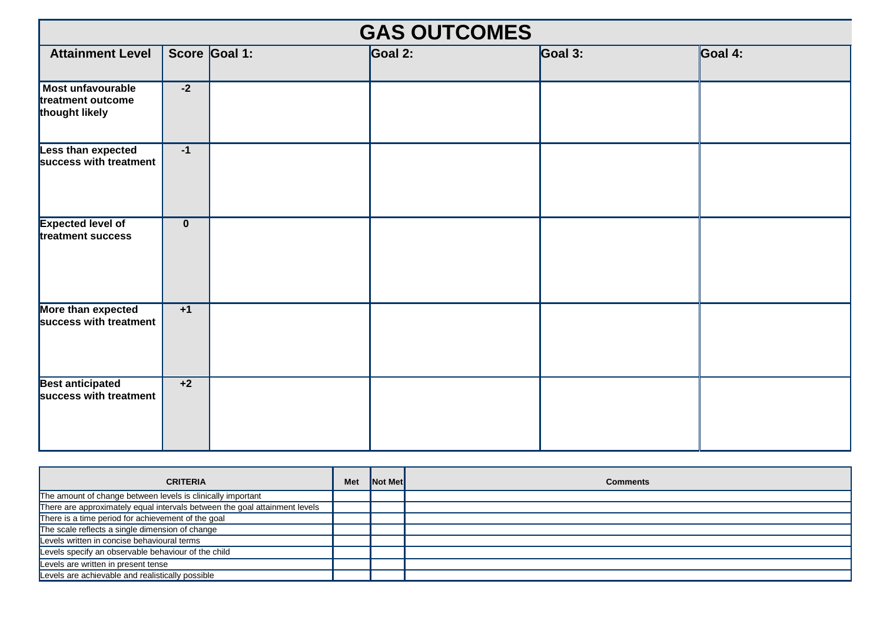| <b>GAS OUTCOMES</b>                                             |             |               |         |                 |         |  |
|-----------------------------------------------------------------|-------------|---------------|---------|-----------------|---------|--|
| <b>Attainment Level</b>                                         |             | Score Goal 1: | Goal 2: | $\vert$ Goal 3: | Goal 4: |  |
| <b>Most unfavourable</b><br>treatment outcome<br>thought likely | $-2$        |               |         |                 |         |  |
| <b>Less than expected</b><br>success with treatment             | $-1$        |               |         |                 |         |  |
| <b>Expected level of</b><br>treatment success                   | $\mathbf 0$ |               |         |                 |         |  |
| More than expected<br>success with treatment                    | $+1$        |               |         |                 |         |  |
| <b>Best anticipated</b><br>success with treatment               | $+2$        |               |         |                 |         |  |

| <b>CRITERIA</b>                                                            | <b>Met</b> | <b>Not Met</b> | <b>Comments</b> |
|----------------------------------------------------------------------------|------------|----------------|-----------------|
| The amount of change between levels is clinically important                |            |                |                 |
| There are approximately equal intervals between the goal attainment levels |            |                |                 |
| There is a time period for achievement of the goal                         |            |                |                 |
| The scale reflects a single dimension of change                            |            |                |                 |
| Levels written in concise behavioural terms                                |            |                |                 |
| Levels specify an observable behaviour of the child                        |            |                |                 |
| Levels are written in present tense                                        |            |                |                 |
| Levels are achievable and realistically possible                           |            |                |                 |